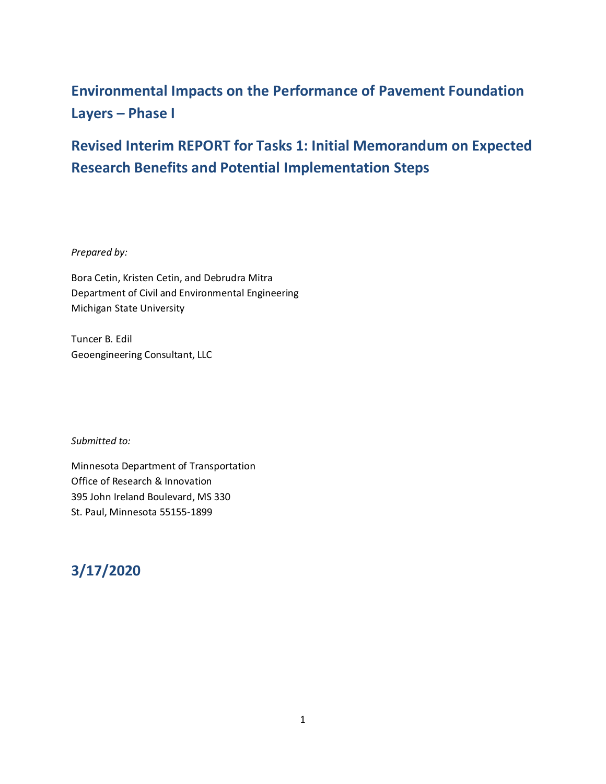# **Environmental Impacts on the Performance of Pavement Foundation Layers – Phase I**

# **Revised Interim REPORT for Tasks 1: Initial Memorandum on Expected Research Benefits and Potential Implementation Steps**

*Prepared by:*

Bora Cetin, Kristen Cetin, and Debrudra Mitra Department of Civil and Environmental Engineering Michigan State University

Tuncer B. Edil Geoengineering Consultant, LLC

*Submitted to:*

Minnesota Department of Transportation Office of Research & Innovation 395 John Ireland Boulevard, MS 330 St. Paul, Minnesota 55155-1899

# **3/17/2020**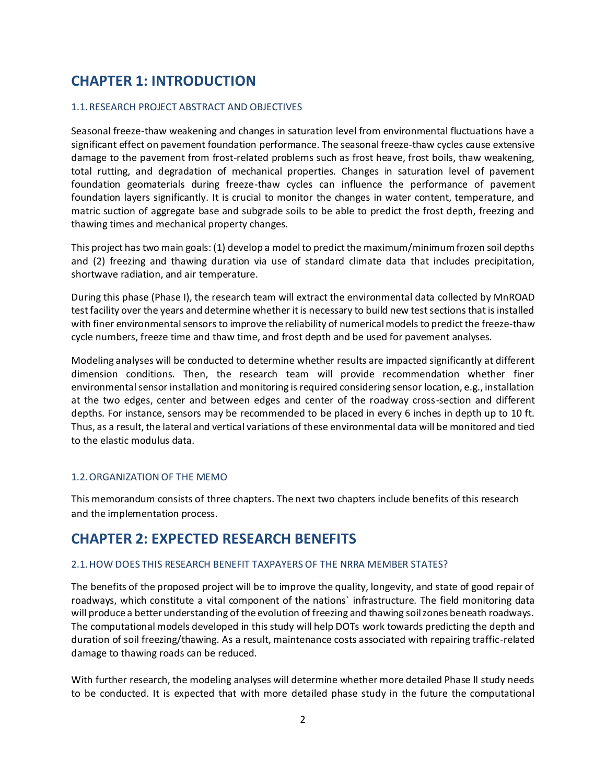## **CHAPTER 1: INTRODUCTION**

#### 1.1.RESEARCH PROJECT ABSTRACT AND OBJECTIVES

Seasonal freeze-thaw weakening and changes in saturation level from environmental fluctuations have a significant effect on pavement foundation performance. The seasonal freeze-thaw cycles cause extensive damage to the pavement from frost-related problems such as frost heave, frost boils, thaw weakening, total rutting, and degradation of mechanical properties. Changes in saturation level of pavement foundation geomaterials during freeze-thaw cycles can influence the performance of pavement foundation layers significantly. It is crucial to monitor the changes in water content, temperature, and matric suction of aggregate base and subgrade soils to be able to predict the frost depth, freezing and thawing times and mechanical property changes.

This project has two main goals: (1) develop a model to predict the maximum/minimum frozen soil depths and (2) freezing and thawing duration via use of standard climate data that includes precipitation, shortwave radiation, and air temperature.

During this phase (Phase I), the research team will extract the environmental data collected by MnROAD test facility over the years and determine whether it is necessary to build new test sections that is installed with finer environmental sensors to improve the reliability of numerical models to predict the freeze-thaw cycle numbers, freeze time and thaw time, and frost depth and be used for pavement analyses.

Modeling analyses will be conducted to determine whether results are impacted significantly at different dimension conditions. Then, the research team will provide recommendation whether finer environmental sensor installation and monitoring is required considering sensor location, e.g., installation at the two edges, center and between edges and center of the roadway cross-section and different depths. For instance, sensors may be recommended to be placed in every 6 inches in depth up to 10 ft. Thus, as a result, the lateral and vertical variations of these environmental data will be monitored and tied to the elastic modulus data.

#### 1.2.ORGANIZATION OF THE MEMO

This memorandum consists of three chapters. The next two chapters include benefits of this research and the implementation process.

## **CHAPTER 2: EXPECTED RESEARCH BENEFITS**

#### 2.1.HOW DOES THIS RESEARCH BENEFIT TAXPAYERS OF THE NRRA MEMBER STATES?

The benefits of the proposed project will be to improve the quality, longevity, and state of good repair of roadways, which constitute a vital component of the nations` infrastructure. The field monitoring data will produce a better understanding of the evolution of freezing and thawing soil zones beneath roadways. The computational models developed in this study will help DOTs work towards predicting the depth and duration of soil freezing/thawing. As a result, maintenance costs associated with repairing traffic-related damage to thawing roads can be reduced.

With further research, the modeling analyses will determine whether more detailed Phase II study needs to be conducted. It is expected that with more detailed phase study in the future the computational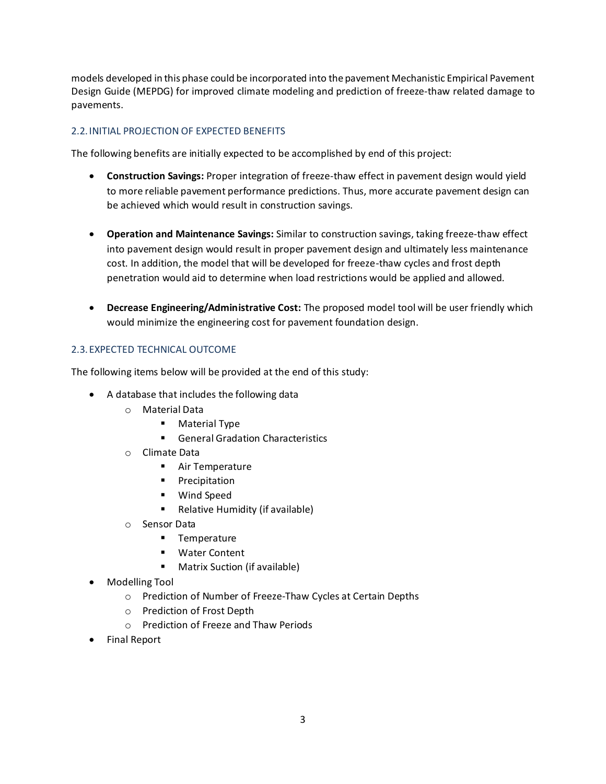models developed in this phase could be incorporated into the pavement Mechanistic Empirical Pavement Design Guide (MEPDG) for improved climate modeling and prediction of freeze-thaw related damage to pavements.

### 2.2.INITIAL PROJECTION OF EXPECTED BENEFITS

The following benefits are initially expected to be accomplished by end of this project:

- **Construction Savings:** Proper integration of freeze-thaw effect in pavement design would yield to more reliable pavement performance predictions. Thus, more accurate pavement design can be achieved which would result in construction savings.
- **Operation and Maintenance Savings:** Similar to construction savings, taking freeze-thaw effect into pavement design would result in proper pavement design and ultimately less maintenance cost. In addition, the model that will be developed for freeze-thaw cycles and frost depth penetration would aid to determine when load restrictions would be applied and allowed.
- **Decrease Engineering/Administrative Cost:** The proposed model tool will be user friendly which would minimize the engineering cost for pavement foundation design.

### 2.3.EXPECTED TECHNICAL OUTCOME

The following items below will be provided at the end of this study:

- A database that includes the following data
	- o Material Data
		- Material Type
		- General Gradation Characteristics
	- o Climate Data
		- Air Temperature
		- Precipitation
		- Wind Speed
		- Relative Humidity (if available)
	- o Sensor Data
		- Temperature
		- Water Content
		- Matrix Suction (if available)
- Modelling Tool
	- o Prediction of Number of Freeze-Thaw Cycles at Certain Depths
	- o Prediction of Frost Depth
	- o Prediction of Freeze and Thaw Periods
- Final Report